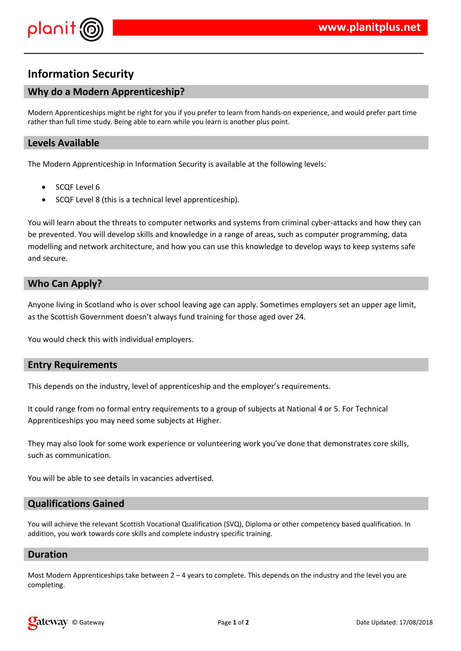

# **Information Security**

## **Why do a Modern Apprenticeship?**

Modern Apprenticeships might be right for you if you prefer to learn from hands-on experience, and would prefer part time rather than full time study. Being able to earn while you learn is another plus point.

#### **Levels Available**

The Modern Apprenticeship in Information Security is available at the following levels:

- SCQF Level 6
- SCQF Level 8 (this is a technical level apprenticeship).

You will learn about the threats to computer networks and systems from criminal cyber-attacks and how they can be prevented. You will develop skills and knowledge in a range of areas, such as computer programming, data modelling and network architecture, and how you can use this knowledge to develop ways to keep systems safe and secure.

### **Who Can Apply?**

Anyone living in Scotland who is over school leaving age can apply. Sometimes employers set an upper age limit, as the Scottish Government doesn't always fund training for those aged over 24.

You would check this with individual employers.

#### **Entry Requirements**

This depends on the industry, level of apprenticeship and the employer's requirements.

It could range from no formal entry requirements to a group of subjects at National 4 or 5. For Technical Apprenticeships you may need some subjects at Higher.

They may also look for some work experience or volunteering work you've done that demonstrates core skills, such as communication.

You will be able to see details in vacancies advertised.

#### **Qualifications Gained**

You will achieve the relevant Scottish Vocational Qualification (SVQ), Diploma or other competency based qualification. In addition, you work towards core skills and complete industry specific training.

#### **Duration**

Most Modern Apprenticeships take between  $2 - 4$  years to complete. This depends on the industry and the level you are completing.